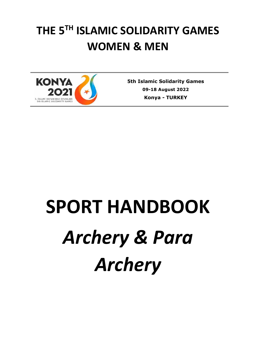## **THE 5TH ISLAMIC SOLIDARITY GAMES WOMEN & MEN**



**5th Islamic Solidarity Games 09-18 August 2022 Konya** *-* **TURKEY**

# **SPORT HANDBOOK** *Archery & Para Archery*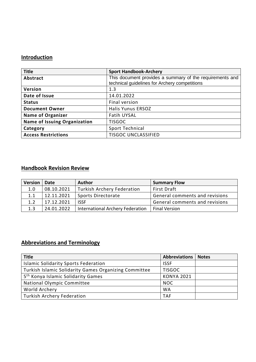## **Introduction**

| <b>Title</b>                        | <b>Sport Handbook-Archery</b>                                                                             |
|-------------------------------------|-----------------------------------------------------------------------------------------------------------|
| Abstract                            | This document provides a summary of the requirements and<br>technical guidelines for Archery competitions |
| Version                             | 1.3                                                                                                       |
| Date of Issue                       | 14.01.2022                                                                                                |
| <b>Status</b>                       | Final version                                                                                             |
| <b>Document Owner</b>               | <b>Halis Yunus ERSOZ</b>                                                                                  |
| <b>Name of Organizer</b>            | <b>Fatih UYSAL</b>                                                                                        |
| <b>Name of Issuing Organization</b> | <b>TISGOC</b>                                                                                             |
| Category                            | Sport Technical                                                                                           |
| <b>Access Restrictions</b>          | <b>TISGOC UNCLASSIFIED</b>                                                                                |

## **Handbook Revision Review**

| <b>Version</b> | Date       | <b>Author</b>                     | <b>Summary Flow</b>            |
|----------------|------------|-----------------------------------|--------------------------------|
| 1.0            | 08.10.2021 | <b>Turkish Archery Federation</b> | <b>First Draft</b>             |
| 1.1            | 12.11.2021 | Sports Directorate                | General comments and revisions |
| 1.2            | 17.12.2021 | <b>ISSE</b>                       | General comments and revisions |
| 1.3            | 24.01.2022 | International Archery Federation  | <b>Final Version</b>           |

## **Abbreviations and Terminology**

| <b>Title</b>                                          | <b>Abbreviations</b> | <b>Notes</b> |
|-------------------------------------------------------|----------------------|--------------|
| <b>Islamic Solidarity Sports Federation</b>           | <b>ISSF</b>          |              |
| Turkish Islamic Solidarity Games Organizing Committee | <b>TISGOC</b>        |              |
| 5 <sup>th</sup> Konya Islamic Solidarity Games        | <b>KONYA 2021</b>    |              |
| National Olympic Committee                            | <b>NOC</b>           |              |
| World Archery                                         | <b>WA</b>            |              |
| <b>Turkish Archery Federation</b>                     | <b>TAF</b>           |              |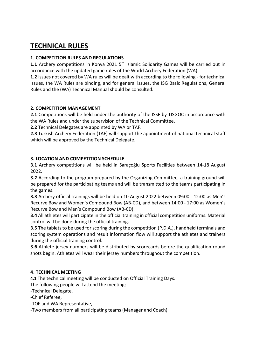## **TECHNICAL RULES**

## **1. COMPETITION RULES AND REGULATIONS**

1.1 Archery competitions in Konya 2021 5<sup>th</sup> Islamic Solidarity Games will be carried out in accordance with the updated game rules of the World Archery Federation (WA).

**1.2** Issues not covered by WA rules will be dealt with according to the following - for technical issues, the WA Rules are binding, and for general issues, the ISG Basic Regulations, General Rules and the (WA) Technical Manual should be consulted.

## **2. COMPETITION MANAGEMENT**

**2.1** Competitions will be held under the authority of the ISSF by TISGOC in accordance with the WA Rules and under the supervision of the Technical Committee.

**2.2** Technical Delegates are appointed by WA or TAF.

**2.3** Turkish Archery Federation (TAF) will support the appointment of national technical staff which will be approved by the Technical Delegate.

## **3. LOCATION AND COMPETITION SCHEDULE**

**3.1** Archery competitions will be held in Saraçoğlu Sports Facilities between 14-18 August 2022.

**3.2** According to the program prepared by the Organizing Committee, a training ground will be prepared for the participating teams and will be transmitted to the teams participating in the games.

**3.3** Archery official trainings will be held on 10 August 2022 between 09:00 - 12:00 as Men's Recurve Bow and Women's Compound Bow (AB-CD), and between 14:00 - 17:00 as Women's Recurve Bow and Men's Compound Bow (AB-CD).

**3.4** All athletes will participate in the official training in official competition uniforms. Material control will be done during the official training.

**3.5** The tablets to be used for scoring during the competition (P.D.A.), handheld terminals and scoring system operations and result information flow will support the athletes and trainers during the official training control.

**3.6** Athlete jersey numbers will be distributed by scorecards before the qualification round shots begin. Athletes will wear their jersey numbers throughout the competition.

#### **4. TECHNICAL MEETING**

**4.1** The technical meeting will be conducted on Official Training Days.

The following people will attend the meeting;

-Technical Delegate,

-Chief Referee,

-TOF and WA Representative,

-Two members from all participating teams (Manager and Coach)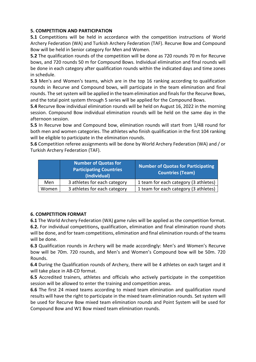## **5. COMPETITION AND PARTICIPATION**

**5.1** Competitions will be held in accordance with the competition instructions of World Archery Federation (WA) and Turkish Archery Federation (TAF). Recurve Bow and Compound Bow will be held in Senior category for Men and Women.

**5.2** The qualification rounds of the competition will be done as 720 rounds 70 m for Recurve bows, and 720 rounds 50 m for Compound Bows. Individual elimination and final rounds will be done in each category after qualification rounds within the indicated days and time zones in schedule.

**5.3** Men's and Women's teams, which are in the top 16 ranking according to qualification rounds in Recurve and Compound bows, will participate in the team elimination and final rounds. The set system will be applied in the team elimination and finals for the Recurve Bows, and the total point system through 5 series will be applied for the Compound Bows.

**5.4** Recurve Bow individual elimination rounds will be held on August 16, 2022 in the morning session. Compound Bow individual elimination rounds will be held on the same day in the afternoon session.

**5.5** In Recurve bow and Compound bow, elimination rounds will start from 1/48 round for both men and women categories. The athletes who finish qualification in the first 104 ranking will be eligible to participate in the elimination rounds.

**5.6** Competition referee assignments will be done by World Archery Federation (WA) and / or Turkish Archery Federation (TAF).

|       | <b>Number of Quotas for</b><br><b>Participating Countries</b><br>(Individual) | <b>Number of Quotas for Participating</b><br><b>Countries (Team)</b> |
|-------|-------------------------------------------------------------------------------|----------------------------------------------------------------------|
| Men   | 3 athletes for each category                                                  | 1 team for each category (3 athletes)                                |
| Women | 3 athletes for each category                                                  | 1 team for each category (3 athletes)                                |

## **6. COMPETITION FORMAT**

**6.1** The World Archery Federation (WA) game rules will be applied as the competition format. **6.2.** For individual competitions**,** qualification, elimination and final elimination round shots will be done, and for team competitions, elimination and final elimination rounds of the teams will be done.

**6.3** Qualification rounds in Archery will be made accordingly: Men's and Women's Recurve bow will be 70m. 720 rounds, and Men's and Women's Compound bow will be 50m. 720 Rounds.

**6.4** During the Qualification rounds of Archery, there will be 4 athletes on each target and it will take place in AB-CD format.

**6.5** Accredited trainers, athletes and officials who actively participate in the competition session will be allowed to enter the training and competition areas.

**6.6** The first 24 mixed teams according to mixed team elimination and qualification round results will have the right to participate in the mixed team elimination rounds. Set system will be used for Recurve Bow mixed team elimination rounds and Point System will be used for Compound Bow and W1 Bow mixed team elimination rounds.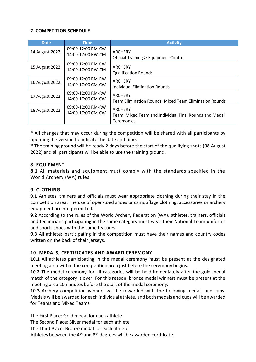## **7. COMPETITION SCHEDULE**

| <b>Date</b>    | Time                                   | <b>Activity</b>                                                                        |
|----------------|----------------------------------------|----------------------------------------------------------------------------------------|
| 14 August 2022 | 09:00-12:00 RM-CW<br>14:00-17:00 RW-CM | ARCHERY<br><b>Official Training &amp; Equipment Control</b>                            |
| 15 August 2022 | 09:00-12:00 RM-CW<br>14:00-17:00 RW-CM | ARCHERY<br><b>Qualification Rounds</b>                                                 |
| 16 August 2022 | 09:00-12:00 RM-RW<br>14:00-17:00 CM-CW | <b>ARCHERY</b><br><b>Individual Elimination Rounds</b>                                 |
| 17 August 2022 | 09:00-12:00 RM-RW<br>14:00-17:00 CM-CW | <b>ARCHERY</b><br><b>Team Elimination Rounds, Mixed Team Elimination Rounds</b>        |
| 18 August 2022 | 09:00-12:00 RM-RW<br>14:00-17:00 CM-CW | <b>ARCHERY</b><br>Team, Mixed Team and Individual Final Rounds and Medal<br>Ceremonies |

**\*** All changes that may occur during the competition will be shared with all participants by updating the version to indicate the date and time.

**\*** The training ground will be ready 2 days before the start of the qualifying shots (08 August 2022) and all participants will be able to use the training ground.

#### **8. EQUIPMENT**

**8.1** All materials and equipment must comply with the standards specified in the World Archery (WA) rules.

#### **9. CLOTHING**

**9.1** Athletes, trainers and officials must wear appropriate clothing during their stay in the competition area. The use of open-toed shoes or camouflage clothing, accessories or archery equipment are not permitted.

**9.2** According to the rules of the World Archery Federation (WA), athletes, trainers, officials and technicians participating in the same category must wear their National Team uniforms and sports shoes with the same features.

**9.3** All athletes participating in the competition must have their names and country codes written on the back of their jerseys.

#### **10. MEDALS, CERTIFICATES AND AWARD CEREMONY**

**10.1** All athletes participating in the medal ceremony must be present at the designated meeting area within the competition area just before the ceremony begins.

**10.2** The medal ceremony for all categories will be held immediately after the gold medal match of the category is over. For this reason, bronze medal winners must be present at the meeting area 10 minutes before the start of the medal ceremony.

**10.3** Archery competition winners will be rewarded with the following medals and cups. Medals will be awarded for each individual athlete, and both medals and cups will be awarded for Teams and Mixed Teams.

The First Place: Gold medal for each athlete The Second Place: Silver medal for each athlete

The Third Place: Bronze medal for each athlete

Athletes between the  $4<sup>th</sup>$  and  $8<sup>th</sup>$  degrees will be awarded certificate.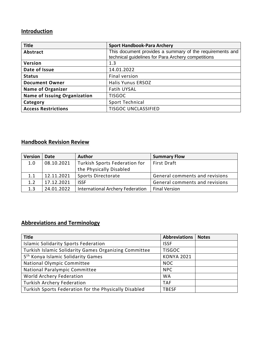## **Introduction**

| <b>Title</b>                        | <b>Sport Handbook-Para Archery</b>                       |  |
|-------------------------------------|----------------------------------------------------------|--|
| Abstract                            | This document provides a summary of the requirements and |  |
|                                     | technical guidelines for Para Archery competitions       |  |
| Version                             | 1.3                                                      |  |
| Date of Issue                       | 14.01.2022                                               |  |
| <b>Status</b>                       | Final version                                            |  |
| <b>Document Owner</b>               | <b>Halis Yunus ERSOZ</b>                                 |  |
| <b>Name of Organizer</b>            | <b>Fatih UYSAL</b>                                       |  |
| <b>Name of Issuing Organization</b> | <b>TISGOC</b>                                            |  |
| Category                            | Sport Technical                                          |  |
| <b>Access Restrictions</b>          | <b>TISGOC UNCLASSIFIED</b>                               |  |

## **Handbook Revision Review**

| <b>Version</b> | Date       | <b>Author</b>                    | <b>Summary Flow</b>            |
|----------------|------------|----------------------------------|--------------------------------|
| 1.0            | 08.10.2021 | Turkish Sports Federation for    | <b>First Draft</b>             |
|                |            | the Physically Disabled          |                                |
| 1.1            | 12.11.2021 | Sports Directorate               | General comments and revisions |
| 1.2            | 17.12.2021 | <b>ISSE</b>                      | General comments and revisions |
| 1.3            | 24.01.2022 | International Archery Federation | <b>Final Version</b>           |

## **Abbreviations and Terminology**

| <b>Title</b>                                          | <b>Abbreviations</b> | <b>Notes</b> |
|-------------------------------------------------------|----------------------|--------------|
| <b>Islamic Solidarity Sports Federation</b>           | <b>ISSF</b>          |              |
| Turkish Islamic Solidarity Games Organizing Committee | <b>TISGOC</b>        |              |
| 5 <sup>th</sup> Konya Islamic Solidarity Games        | <b>KONYA 2021</b>    |              |
| National Olympic Committee                            | <b>NOC</b>           |              |
| National Paralympic Committee                         | <b>NPC</b>           |              |
| World Archery Federation                              | <b>WA</b>            |              |
| <b>Turkish Archery Federation</b>                     | <b>TAF</b>           |              |
| Turkish Sports Federation for the Physically Disabled | <b>TBESF</b>         |              |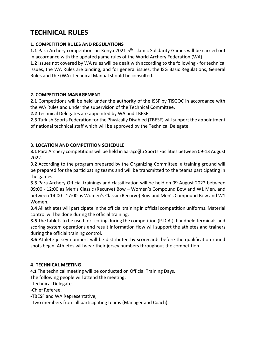## **TECHNICAL RULES**

## **1. COMPETITION RULES AND REGULATIONS**

**1.1** Para Archery competitions in Konya 2021 5<sup>th</sup> Islamic Solidarity Games will be carried out in accordance with the updated game rules of the World Archery Federation (WA).

**1.2** Issues not covered by WA rules will be dealt with according to the following - for technical issues, the WA Rules are binding, and for general issues, the ISG Basic Regulations, General Rules and the (WA) Technical Manual should be consulted.

## **2. COMPETITION MANAGEMENT**

**2.1** Competitions will be held under the authority of the ISSF by TISGOC in accordance with the WA Rules and under the supervision of the Technical Committee.

**2.2** Technical Delegates are appointed by WA and TBESF.

**2.3** Turkish Sports Federation for the Physically Disabled (TBESF) will support the appointment of national technical staff which will be approved by the Technical Delegate.

## **3. LOCATION AND COMPETITION SCHEDULE**

**3.1** Para Archery competitions will be held in Saraçoğlu Sports Facilities between 09-13 August 2022.

**3.2** According to the program prepared by the Organizing Committee, a training ground will be prepared for the participating teams and will be transmitted to the teams participating in the games.

**3.3** Para Archery Official trainings and classification will be held on 09 August 2022 between 09:00 - 12:00 as Men's Classic (Recurve) Bow – Women's Compound Bow and W1 Men, and between 14:00 - 17:00 as Women's Classic (Recurve) Bow and Men's Compound Bow and W1 Women.

**3.4** All athletes will participate in the official training in official competition uniforms. Material control will be done during the official training.

**3.5** The tablets to be used for scoring during the competition (P.D.A.), handheld terminals and scoring system operations and result information flow will support the athletes and trainers during the official training control.

**3.6** Athlete jersey numbers will be distributed by scorecards before the qualification round shots begin. Athletes will wear their jersey numbers throughout the competition.

## **4. TECHNICAL MEETING**

**4.1** The technical meeting will be conducted on Official Training Days.

The following people will attend the meeting;

-Technical Delegate,

-Chief Referee,

-TBESF and WA Representative,

-Two members from all participating teams (Manager and Coach)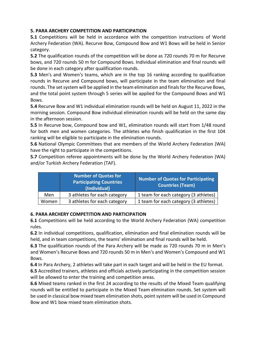## **5. PARA ARCHERY COMPETITION AND PARTICIPATION**

**5.1** Competitions will be held in accordance with the competition instructions of World Archery Federation (WA). Recurve Bow, Compound Bow and W1 Bows will be held in Senior category.

**5.2** The qualification rounds of the competition will be done as 720 rounds 70 m for Recurve bows, and 720 rounds 50 m for Compound Bows. Individual elimination and final rounds will be done in each category after qualification rounds.

**5.3** Men's and Women's teams, which are in the top 16 ranking according to qualification rounds in Recurve and Compound bows, will participate in the team elimination and final rounds. The set system will be applied in the team elimination and finals for the Recurve Bows, and the total point system through 5 series will be applied for the Compound Bows and W1 Bows.

**5.4** Recurve Bow and W1 individual elimination rounds will be held on August 11, 2022 in the morning session. Compound Bow individual elimination rounds will be held on the same day in the afternoon session.

**5.5** In Recurve bow, Compound bow and W1, elimination rounds will start from 1/48 round for both men and women categories. The athletes who finish qualification in the first 104 ranking will be eligible to participate in the elimination rounds.

**5.6** National Olympic Committees that are members of the World Archery Federation (WA) have the right to participate in the competitions.

**5.7** Competition referee appointments will be done by the World Archery Federation (WA) and/or Turkish Archery Federation (TAF).

|       | <b>Number of Quotas for</b><br><b>Participating Countries</b><br>(Individual) | Number of Quotas for Participating<br><b>Countries (Team)</b> |
|-------|-------------------------------------------------------------------------------|---------------------------------------------------------------|
| Men   | 3 athletes for each category                                                  | 1 team for each category (3 athletes)                         |
| Women | 3 athletes for each category                                                  | 1 team for each category (3 athletes)                         |

## **6. PARA ARCHERY COMPETITION AND PARTICIPATION**

**6.1** Competitions will be held according to the World Archery Federation (WA) competition rules.

**6.2** In individual competitions, qualification, elimination and final elimination rounds will be held, and in team competitions, the teams' elimination and final rounds will be held.

**6.3** The qualification rounds of the Para Archery will be made as 720 rounds 70 m in Men's and Women's Recurve Bows and 720 rounds 50 m in Men's and Women's Compound and W1 Bows.

**6.4** In Para Archery, 2 athletes will take part in each target and will be held in the EU format.

**6.5** Accredited trainers, athletes and officials actively participating in the competition session will be allowed to enter the training and competition areas.

**6.6** Mixed teams ranked in the first 24 according to the results of the Mixed Team qualifying rounds will be entitled to participate in the Mixed Team elimination rounds. Set system will be used in classical bow mixed team elimination shots, point system will be used in Compound Bow and W1 bow mixed team elimination shots.